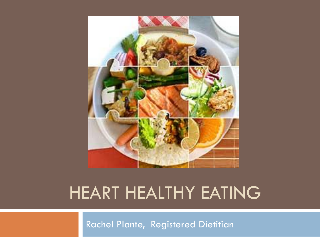

#### HEART HEALTHY EATING

Rachel Plante, Registered Dietitian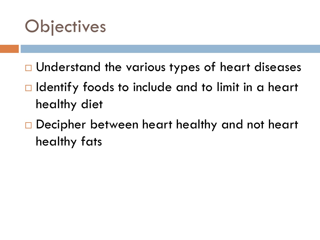

- $\Box$  Understand the various types of heart diseases
- $\Box$  Identify foods to include and to limit in a heart healthy diet
- □ Decipher between heart healthy and not heart healthy fats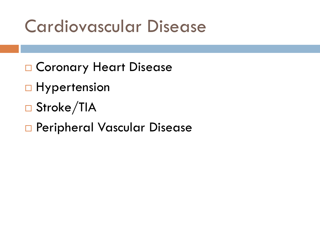#### Cardiovascular Disease

- □ Coronary Heart Disease
- □ Hypertension
- □ Stroke/TIA
- Peripheral Vascular Disease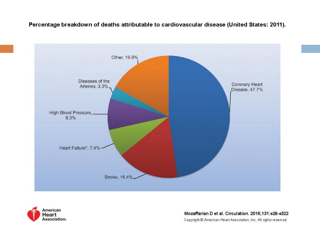#### Percentage breakdown of deaths attributable to cardiovascular disease (United States: 2011).





#### Mozaffarian D et al. Circulation. 2015;131:e29-e322

Copyright @ American Heart Association, Inc. All rights reserved.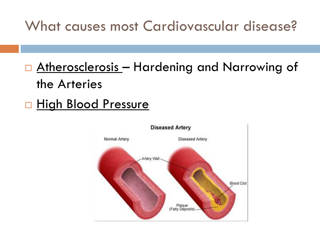#### What causes most Cardiovascular disease?

- □ Atherosclerosis Hardening and Narrowing of the Arteries
- High Blood Pressure

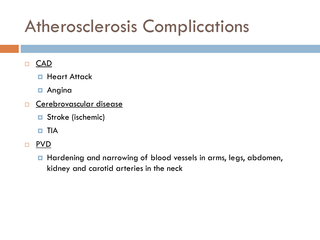### Atherosclerosis Complications

#### D CAD

- **Heart Attack**
- **□** Angina
- **D** Cerebrovascular disease
	- Stroke (ischemic)
	- $\blacksquare$  TIA
- PVD
	- **Hardening and narrowing of blood vessels in arms, legs, abdomen,** kidney and carotid arteries in the neck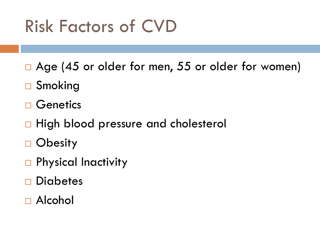## Risk Factors of CVD

- □ Age (45 or older for men, 55 or older for women)
- □ Smoking
- □ Genetics
- □ High blood pressure and cholesterol
- □ Obesity
- □ Physical Inactivity
- □ Diabetes
- Alcohol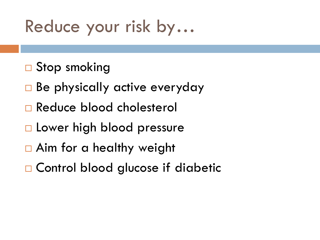#### Reduce your risk by…

#### □ Stop smoking

- □ Be physically active everyday
- Reduce blood cholesterol
- □ Lower high blood pressure
- □ Aim for a healthy weight
- □ Control blood glucose if diabetic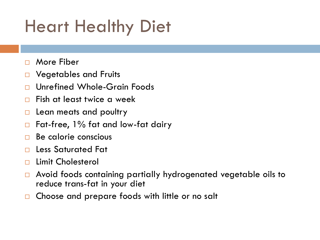### Heart Healthy Diet

- More Fiber
- □ Vegetables and Fruits
- Unrefined Whole-Grain Foods
- Fish at least twice a week
- $\Box$  Lean meats and poultry
- $\Box$  Fat-free, 1% fat and low-fat dairy
- $\Box$  Be calorie conscious
- □ Less Saturated Fat
- **Limit Cholesterol**
- Avoid foods containing partially hydrogenated vegetable oils to reduce trans-fat in your diet
- □ Choose and prepare foods with little or no salt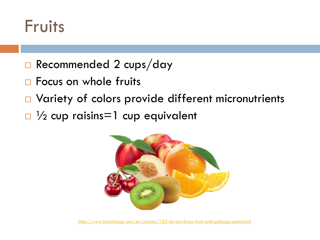#### Fruits

- Recommended 2 cups/day
- $\Box$  Focus on whole fruits
- □ Variety of colors provide different micronutrients
- $\Box$  /2 cup raisins=1 cup equivalent



<http://www.biohellasgr.com/en/articles/103-do-not-throw-fruit-and-gabage-peels.html>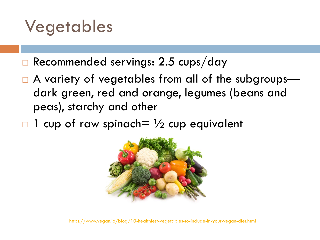#### Vegetables

- Recommended servings: 2.5 cups/day
- □ A variety of vegetables from all of the subgroups dark green, red and orange, legumes (beans and peas), starchy and other
- $\Box$  1 cup of raw spinach=  $\frac{1}{2}$  cup equivalent

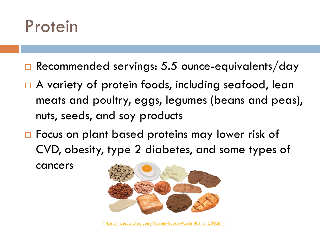#### Protein

- Recommended servings: 5.5 ounce-equivalents/day
- □ A variety of protein foods, including seafood, lean meats and poultry, eggs, legumes (beans and peas), nuts, seeds, and soy products
- □ Focus on plant based proteins may lower risk of CVD, obesity, type 2 diabetes, and some types of

cancers



[https://ncescatalog.com/Protein-Foods-Model-Kit\\_p\\_650.html](https://ncescatalog.com/Protein-Foods-Model-Kit_p_650.html)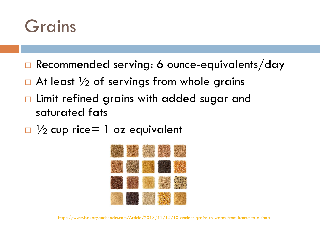

- Recommended serving: 6 ounce-equivalents/day
- $\Box$  At least  $\frac{1}{2}$  of servings from whole grains
- □ Limit refined grains with added sugar and saturated fats
- $\Box$  /2 cup rice= 1 oz equivalent



<https://www.bakeryandsnacks.com/Article/2013/11/14/10-ancient-grains-to-watch-from-kamut-to-quinoa>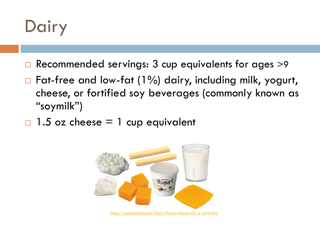

- $\Box$  Recommended servings: 3 cup equivalents for ages >9
- $\Box$  Fat-free and low-fat (1%) dairy, including milk, yogurt, cheese, or fortified soy beverages (commonly known as "soymilk")
- $\Box$  1.5 oz cheese  $=$  1 cup equivalent

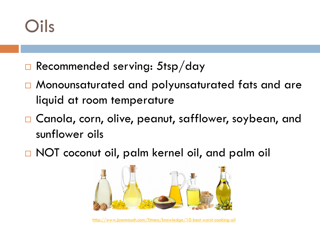#### Oils

- Recommended serving: 5tsp/day
- □ Monounsaturated and polyunsaturated fats and are liquid at room temperature
- □ Canola, corn, olive, peanut, safflower, soybean, and sunflower oils
- □ NOT coconut oil, palm kernel oil, and palm oil



<http://www.joannasoh.com/fitness/knowledge/10-best-worst-cooking-oil>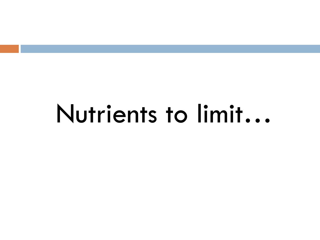# Nutrients to limit…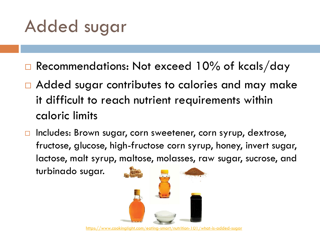#### Added sugar

- Recommendations: Not exceed 10% of kcals/day
- □ Added sugar contributes to calories and may make it difficult to reach nutrient requirements within caloric limits
- □ Includes: Brown sugar, corn sweetener, corn syrup, dextrose, fructose, glucose, high-fructose corn syrup, honey, invert sugar, lactose, malt syrup, maltose, molasses, raw sugar, sucrose, and

turbinado sugar.

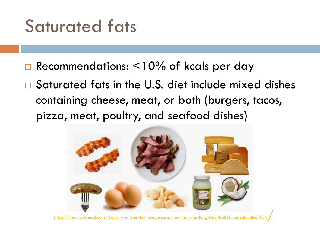#### Saturated fats

- Recommendations: <10% of kcals per day
- □ Saturated fats in the U.S. diet include mixed dishes containing cheese, meat, or both (burgers, tacos, pizza, meat, poultry, and seafood dishes)



https://thewholemeal.com/should-we-listen-to-the-science-rather-than-the-long-held-beliefs-on-saturat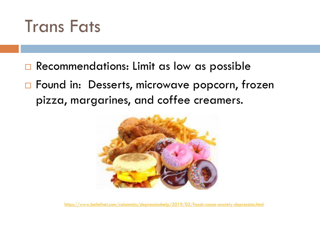

- Recommendations: Limit as low as possible
- □ Found in: Desserts, microwave popcorn, frozen pizza, margarines, and coffee creamers.



<https://www.beliefnet.com/columnists/depressionhelp/2019/02/foods-cause-anxiety-depression.html>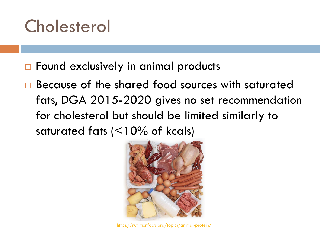#### Cholesterol

- □ Found exclusively in animal products
- □ Because of the shared food sources with saturated fats, DGA 2015-2020 gives no set recommendation for cholesterol but should be limited similarly to saturated fats (<10% of kcals)



<https://nutritionfacts.org/topics/animal-protein/>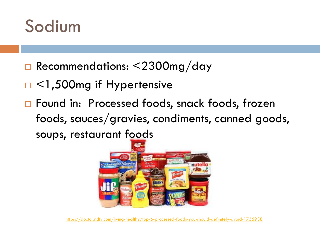#### Sodium

- Recommendations: <2300mg/day
- □ <1,500mg if Hypertensive
- □ Found in: Processed foods, snack foods, frozen foods, sauces/gravies, condiments, canned goods, soups, restaurant foods



<https://doctor.ndtv.com/living-healthy/top-6-processed-foods-you-should-definitely-avoid-1755938>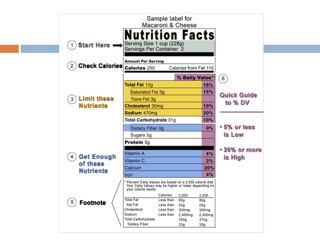|                                                         | Sample label for<br>Macaroni & Cheese                                                                                                                                                                                                                                                                                                                                                                                               |                                       |
|---------------------------------------------------------|-------------------------------------------------------------------------------------------------------------------------------------------------------------------------------------------------------------------------------------------------------------------------------------------------------------------------------------------------------------------------------------------------------------------------------------|---------------------------------------|
| Start Here $\rightarrow$<br>1)                          | <b>ition Facts</b><br>Serving Size 1 cup (228g)<br>Servings Per Container 2                                                                                                                                                                                                                                                                                                                                                         |                                       |
| <b>Check Calories</b><br>2)                             | <b>Amount Per Serving</b><br><b>Calories 250</b><br>Calories from Fat 110                                                                                                                                                                                                                                                                                                                                                           |                                       |
| <b>Limit these</b><br>3)<br><b>Nutrients</b>            | % Daily Value*<br>Total Fat 12g<br>18%<br>15%<br>Saturated Fat 3g<br>Trans Fat 3g<br>Cholesterol 30mg<br>10%<br>Sodium 470mg<br>20%<br>Total Carbohydrate 31g<br>10%                                                                                                                                                                                                                                                                | $6^{\circ}$<br>Quick Guide<br>to % DV |
|                                                         | 0%<br>Dietary Fiber 0g<br>Sugars 5g<br>Protein 5g                                                                                                                                                                                                                                                                                                                                                                                   | <b>.5% or less</b><br>is Low          |
| <b>Get Enough</b><br>4)<br>of these<br><b>Nutrients</b> | Vitamin A<br>4%<br>Vitamin C<br>2%<br>Calcium<br>20%<br>4%                                                                                                                                                                                                                                                                                                                                                                          | ∘ 20% or more<br>is High              |
| 5<br><b>Footnote</b>                                    | Iron<br>Percent Daily Values are based on a 2,000 calorie diet.<br>Your Daily Values may be higher or lower depending on<br>your calorie needs.<br>Calories:<br>2,000<br>2,500<br><b>Total Fat</b><br>Less than<br>65a<br>80g<br>Sat Fat<br>Less than<br>20a<br>25g<br>Cholesterol<br>Less than<br>300mg<br>300mg<br>Sodium<br>Less than<br>2,400mg<br>2,400mg<br>Total Carbohydrate<br>375g<br>300q<br>Dietary Fiber<br>25g<br>30g |                                       |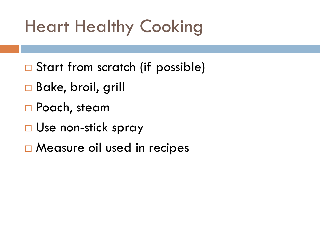## Heart Healthy Cooking

- □ Start from scratch (if possible)
- Bake, broil, grill
- Poach, steam
- □ Use non-stick spray
- □ Measure oil used in recipes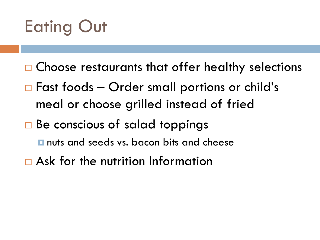# Eating Out

- □ Choose restaurants that offer healthy selections
- $\Box$  Fast foods Order small portions or child's meal or choose grilled instead of fried
- $\Box$  Be conscious of salad toppings
	- **nuts and seeds vs. bacon bits and cheese**
- Ask for the nutrition Information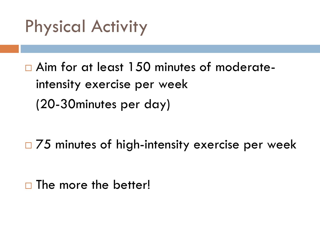#### Physical Activity

 Aim for at least 150 minutes of moderateintensity exercise per week (20-30minutes per day)

 $\Box$  75 minutes of high-intensity exercise per week

 $\Box$  The more the better!